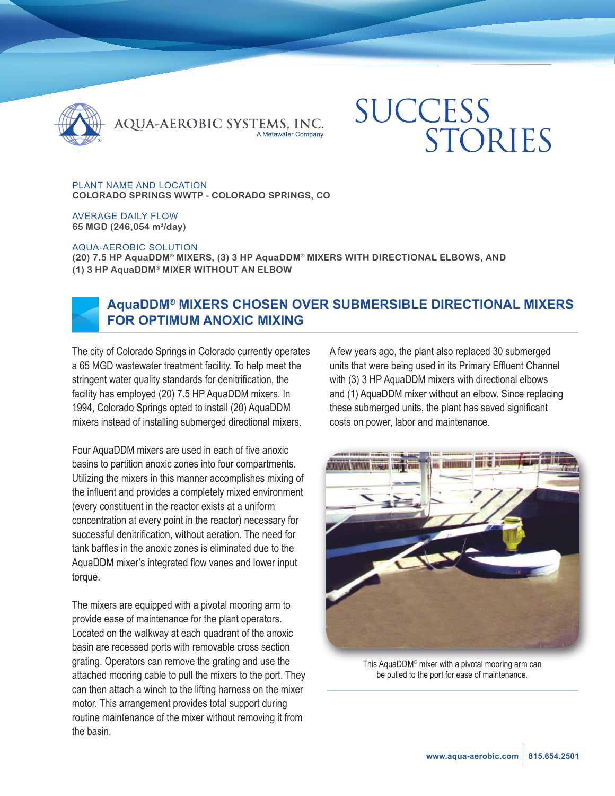

QUA-AEROBIC SYSTEMS, INC.

# **SUCCESS** STORIES

PLANT NAME AND LOCATION **COLORADO SPRINGS WWTP - COLORADO SPRINGS, CO**

#### AVERAGE DAILY FLOW **65 MGD (246,054 m3/day)**

### AQUA-AEROBIC SOLUTION

**(20) 7.5 HP AquaDDM® MIXERS, (3) 3 HP AquaDDM® MIXERS WITH DIRECTIONAL ELBOWS, AND (1) 3 HP AquaDDM® MIXER WITHOUT AN ELBOW**



# **AquaDDM® MIXERS CHOSEN OVER SUBMERSIBLE DIRECTIONAL MIXERS FOR OPTIMUM ANOXIC MIXING**

The city of Colorado Springs in Colorado currently operates a 65 MGD wastewater treatment facility. To help meet the stringent water quality standards for denitrification, the facility has employed (20) 7.5 HP AquaDDM mixers. In 1994, Colorado Springs opted to install (20) AquaDDM mixers instead of installing submerged directional mixers.

Four AquaDDM mixers are used in each of five anoxic basins to partition anoxic zones into four compartments. Utilizing the mixers in this manner accomplishes mixing of the influent and provides a completely mixed environment (every constituent in the reactor exists at a uniform concentration at every point in the reactor) necessary for successful denitrification, without aeration. The need for tank baffles in the anoxic zones is eliminated due to the AquaDDM mixer's integrated flow vanes and lower input torque.

The mixers are equipped with a pivotal mooring arm to provide ease of maintenance for the plant operators. Located on the walkway at each quadrant of the anoxic basin are recessed ports with removable cross section grating. Operators can remove the grating and use the attached mooring cable to pull the mixers to the port. They can then attach a winch to the lifting harness on the mixer motor. This arrangement provides total support during routine maintenance of the mixer without removing it from the basin.

A few years ago, the plant also replaced 30 submerged units that were being used in its Primary Effluent Channel with (3) 3 HP AquaDDM mixers with directional elbows and (1) AquaDDM mixer without an elbow. Since replacing these submerged units, the plant has saved significant costs on power, labor and maintenance.



This AquaDDM® mixer with a pivotal mooring arm can be pulled to the port for ease of maintenance.